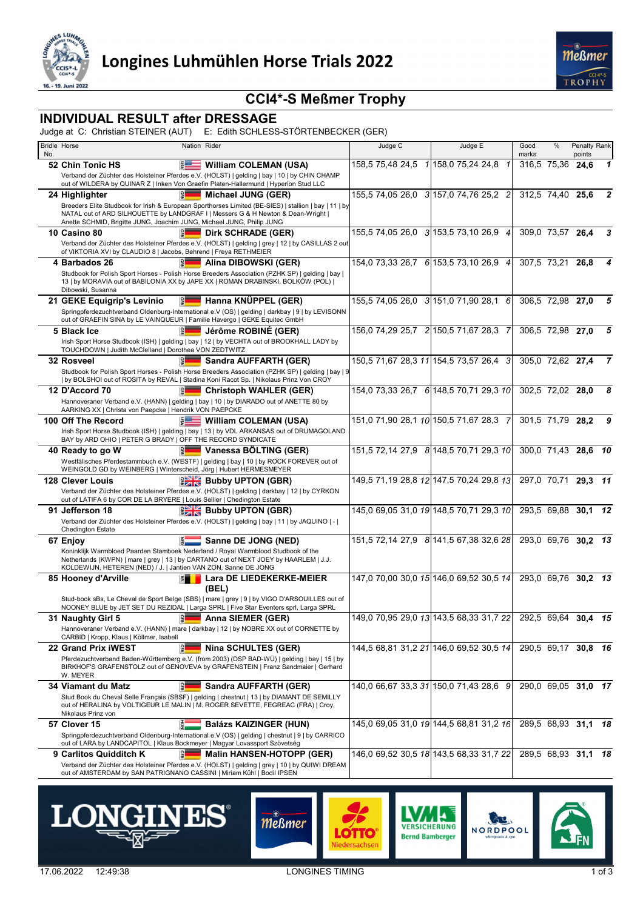



### **CCI4\*-S Meßmer Trophy**

### **INDIVIDUAL RESULT after DRESSAGE**

Judge at C: Christian STEINER (AUT) E: Edith SCHLESS-STÖRTENBECKER (GER)

| No. | <b>Bridle Horse</b>                                                                                                                                 | Nation Rider             |                                                                                                                                                                                              | Judge C                              | Judge E                                                     | Good<br>marks       | $\%$                          | Penalty Rank<br>points |                |
|-----|-----------------------------------------------------------------------------------------------------------------------------------------------------|--------------------------|----------------------------------------------------------------------------------------------------------------------------------------------------------------------------------------------|--------------------------------------|-------------------------------------------------------------|---------------------|-------------------------------|------------------------|----------------|
|     | 52 Chin Tonic HS                                                                                                                                    | $5 =$                    | <b>William COLEMAN (USA)</b>                                                                                                                                                                 |                                      | 158,5 75,48 24,5 1 158,0 75,24 24,8 1                       |                     | 316,5 75,36                   | 24,6                   | $\mathbf 1$    |
|     |                                                                                                                                                     |                          | Verband der Züchter des Holsteiner Pferdes e.V. (HOLST)   gelding   bay   10   by CHIN CHAMP<br>out of WILDERA by QUINAR Z   Inken Von Graefin Platen-Hallermund   Hyperion Stud LLC         |                                      |                                                             |                     |                               |                        |                |
|     | 24 Highlighter                                                                                                                                      |                          | <b>Michael JUNG (GER)</b>                                                                                                                                                                    |                                      | 155,5 74,05 26,0 3 157,0 74,76 25,2 2                       |                     | $312,5$ 74,40 25,6            |                        | $\mathbf{2}$   |
|     | Anette SCHMID, Brigitte JUNG, Joachim JUNG, Michael JUNG, Philip JUNG                                                                               |                          | Breeders Elite Studbook for Irish & European Sporthorses Limited (BE-SIES)   stallion   bay   11   by<br>NATAL out of ARD SILHOUETTE by LANDGRAF I   Messers G & H Newton & Dean-Wright      |                                      |                                                             |                     |                               |                        |                |
|     | 10 Casino 80                                                                                                                                        | 읿                        | Dirk SCHRADE (GER)                                                                                                                                                                           | 155,5 74,05 26,0 3 153,5 73,10 26,9  | $\overline{4}$                                              |                     | 309,0 73,57 26,4              |                        | 3              |
|     | of VIKTORIA XVI by CLAUDIO 8   Jacobs, Behrend   Freya RETHMEIER                                                                                    |                          | Verband der Züchter des Holsteiner Pferdes e.V. (HOLST)   gelding   grey   12   by CASILLAS 2 out                                                                                            |                                      |                                                             |                     |                               |                        |                |
|     | 4 Barbados 26                                                                                                                                       |                          | Alina DIBOWSKI (GER)                                                                                                                                                                         |                                      | 154,0 73,33 26,7 6 153,5 73,10 26,9 4                       |                     | 307.5 73.21 26.8              |                        | 4              |
|     | Dibowski, Susanna                                                                                                                                   |                          | Studbook for Polish Sport Horses - Polish Horse Breeders Association (PZHK SP)   gelding   bay  <br>13   by MORAVIA out of BABILONIA XX by JAPE XX   ROMAN DRABINSKI, BOLKÓW (POL)           |                                      |                                                             |                     |                               |                        |                |
|     | 21 GEKE Equigrip's Levinio                                                                                                                          | Fel                      | Hanna KNÜPPEL (GER)                                                                                                                                                                          |                                      | 155,5 74,05 26,0 3 151,0 71,90 28,1 6                       |                     | $\overline{306,5}$ 72,98 27,0 |                        | 5              |
|     | out of GRAEFIN SINA by LE VAINQUEUR   Familie Havergo   GEKE Equitec GmbH                                                                           |                          | Springpferdezuchtverband Oldenburg-International e.V (OS)   gelding   darkbay   9   by LEVISONN                                                                                              |                                      |                                                             |                     |                               |                        |                |
|     | 5 Black Ice<br>TOUCHDOWN   Judith McClelland   Dorothea VON ZEDTWITZ                                                                                |                          | Jérôme ROBINÉ (GER)<br>Irish Sport Horse Studbook (ISH)   gelding   bay   12   by VECHTA out of BROOKHALL LADY by                                                                            | 156,0 74,29 25,7 2 150,5 71,67 28,3  |                                                             |                     | 306,5 72,98 27,0              |                        | 5              |
|     | 32 Rosveel                                                                                                                                          | 出                        | Sandra AUFFARTH (GER)                                                                                                                                                                        |                                      | 150,5 71,67 28,3 11 154,5 73,57 26,4 3                      |                     | 305,0 72,62 27,4              |                        | $\overline{7}$ |
|     |                                                                                                                                                     |                          | Studbook for Polish Sport Horses - Polish Horse Breeders Association (PZHK SP)   gelding   bay   9<br>  by BOLSHOI out of ROSITA by REVAL   Stadina Koni Racot Sp.   Nikolaus Prinz Von CROY |                                      |                                                             |                     |                               |                        |                |
|     | 12 D'Accord 70                                                                                                                                      |                          | <b>Christoph WAHLER (GER)</b>                                                                                                                                                                |                                      | 154,0 73,33 26,7 6 148,5 70,71 29,3 10                      |                     | 302,5 72,02 28,0              |                        | 8              |
|     | AARKING XX   Christa von Paepcke   Hendrik VON PAEPCKE                                                                                              |                          | Hannoveraner Verband e.V. (HANN)   gelding   bay   10   by DIARADO out of ANETTE 80 by                                                                                                       |                                      |                                                             |                     |                               |                        |                |
|     | 100 Off The Record                                                                                                                                  | $5 =$                    | William COLEMAN (USA)                                                                                                                                                                        | 151,0 71,90 28,1 10 150,5 71,67 28,3 | 7                                                           |                     | 301,5 71,79 28,2              |                        | 9              |
|     | BAY by ARD OHIO   PETER G BRADY   OFF THE RECORD SYNDICATE                                                                                          |                          | Irish Sport Horse Studbook (ISH)   gelding   bay   13   by VDL ARKANSAS out of DRUMAGOLAND                                                                                                   |                                      |                                                             |                     |                               |                        |                |
|     | 40 Ready to go W                                                                                                                                    |                          | Vanessa BÖLTING (GER)                                                                                                                                                                        |                                      | 151,5 72,14 27,9 8 148,5 70,71 29,3 10                      |                     |                               | 300,0 71,43 28,6 10    |                |
|     | WEINGOLD GD by WEINBERG   Winterscheid, Jörg   Hubert HERMESMEYER                                                                                   |                          | Westfälisches Pferdestammbuch e.V. (WESTF)   gelding   bay   10   by ROCK FOREVER out of                                                                                                     |                                      |                                                             |                     |                               |                        |                |
|     | <b>128 Clever Louis</b>                                                                                                                             |                          | <b>BELLE</b> Bubby UPTON (GBR)                                                                                                                                                               |                                      | 149,5 71,19 28,8 12 147,5 70,24 29,8 13                     |                     | 297,0 70,71                   | 29,3 11                |                |
|     | out of LATIFA 6 by COR DE LA BRYERE   Louis Sellier   Chedington Estate                                                                             |                          | Verband der Züchter des Holsteiner Pferdes e.V. (HOLST)   gelding   darkbay   12   by CYRKON                                                                                                 |                                      |                                                             |                     |                               |                        |                |
|     | 91 Jefferson 18                                                                                                                                     |                          | <b>BE Bubby UPTON (GBR)</b>                                                                                                                                                                  |                                      | 145,0 69,05 31,0 19 148,5 70,71 29,3 10                     |                     |                               | 293,5 69,88 30,1 12    |                |
|     | <b>Chedington Estate</b>                                                                                                                            |                          | Verband der Züchter des Holsteiner Pferdes e.V. (HOLST)   gelding   bay   11   by JAQUINO   -                                                                                                |                                      |                                                             |                     |                               |                        |                |
|     | 67 Enjoy                                                                                                                                            | F.                       | Sanne DE JONG (NED)                                                                                                                                                                          |                                      | 151,5 72,14 27,9 8 141,5 67,38 32,6 28                      |                     |                               | 293,0 69,76 30,2 13    |                |
|     | Koninklijk Warmbloed Paarden Stamboek Nederland / Royal Warmblood Studbook of the<br>KOLDEWIJN, HETEREN (NED) / J.   Jantien VAN ZON, Sanne DE JONG |                          | Netherlands (KWPN)   mare   grey   13   by CARTANO out of NEXT JOEY by HAARLEM   J.J.                                                                                                        |                                      |                                                             |                     |                               |                        |                |
|     | 85 Hooney d'Arville                                                                                                                                 | 眉                        | Lara DE LIEDEKERKE-MEIER<br>(BEL)                                                                                                                                                            |                                      | 147,0 70,00 30,0 15 146,0 69,52 30,5 14                     |                     |                               | 293.0 69.76 30.2 13    |                |
|     |                                                                                                                                                     |                          | Stud-book sBs, Le Cheval de Sport Belge (SBS)   mare   grey   9   by VIGO D'ARSOUILLES out of<br>NOONEY BLUE by JET SET DU REZIDAL   Larga SPRL   Five Star Eventers sprl, Larga SPRL        |                                      |                                                             |                     |                               |                        |                |
|     | 31 Naughty Girl 5                                                                                                                                   | <b>GER</b>               | Anna SIEMER (GER)                                                                                                                                                                            |                                      | 149,0 70,95 29,0 13 143,5 68,33 31,7 22 292,5 69,64 30,4 15 |                     |                               |                        |                |
|     | CARBID   Kropp, Klaus   Köllmer, Isabell                                                                                                            |                          | Hannoveraner Verband e.V. (HANN)   mare   darkbay   12   by NOBRE XX out of CORNETTE by                                                                                                      |                                      |                                                             |                     |                               |                        |                |
|     | 22 Grand Prix iWEST                                                                                                                                 | le.                      | <b>Nina SCHULTES (GER)</b>                                                                                                                                                                   |                                      | 144,5 68,81 31,2 21 146,0 69,52 30,5 14                     |                     |                               | 290,5 69,17 30,8 16    |                |
|     | W. MEYER                                                                                                                                            |                          | Pferdezuchtverband Baden-Württemberg e.V. (from 2003) (DSP BAD-WÜ)   gelding   bay   15   by<br>BIRKHOF'S GRAFENSTOLZ out of GENOVEVA by GRAFENSTEIN   Franz Sandmaier   Gerhard             |                                      |                                                             |                     |                               |                        |                |
|     | 34 Viamant du Matz                                                                                                                                  | ١ę                       | Sandra AUFFARTH (GER)                                                                                                                                                                        |                                      | 140,0 66,67 33,3 31 150,0 71,43 28,6 9                      |                     |                               | 290,0 69,05 31,0 17    |                |
|     | Nikolaus Prinz von                                                                                                                                  |                          | Stud Book du Cheval Selle Français (SBSF)   gelding   chestnut   13   by DIAMANT DE SEMILLY<br>out of HERALINA by VOLTIGEUR LE MALIN   M. ROGER SEVETTE, FEGREAC (FRA)   Croy,               |                                      |                                                             |                     |                               |                        |                |
|     | 57 Clover 15                                                                                                                                        |                          | <b>Balázs KAIZINGER (HUN)</b>                                                                                                                                                                |                                      | 145,0 69,05 31,0 19 144,5 68,81 31,2 16                     |                     |                               | 289,5 68,93 31,1 18    |                |
|     | out of LARA by LANDCAPITOL   Klaus Bockmeyer   Magyar Lovassport Szövetség                                                                          |                          | Springpferdezuchtverband Oldenburg-International e.V (OS)   gelding   chestnut   9   by CARRICO                                                                                              |                                      |                                                             |                     |                               |                        |                |
|     | 9 Carlitos Quidditch K                                                                                                                              | $\vert \mathbf{B} \vert$ | <b>Malin HANSEN-HOTOPP (GER)</b>                                                                                                                                                             |                                      | 146,0 69,52 30,5 18 143,5 68,33 31,7 22                     | 289,5 68,93 31,1 18 |                               |                        |                |
|     | out of AMSTERDAM by SAN PATRIGNANO CASSINI   Miriam Kühl   Bodil IPSEN                                                                              |                          | Verband der Züchter des Holsteiner Pferdes e.V. (HOLST)   gelding   grey   10   by QUIWI DREAM                                                                                               |                                      |                                                             |                     |                               |                        |                |









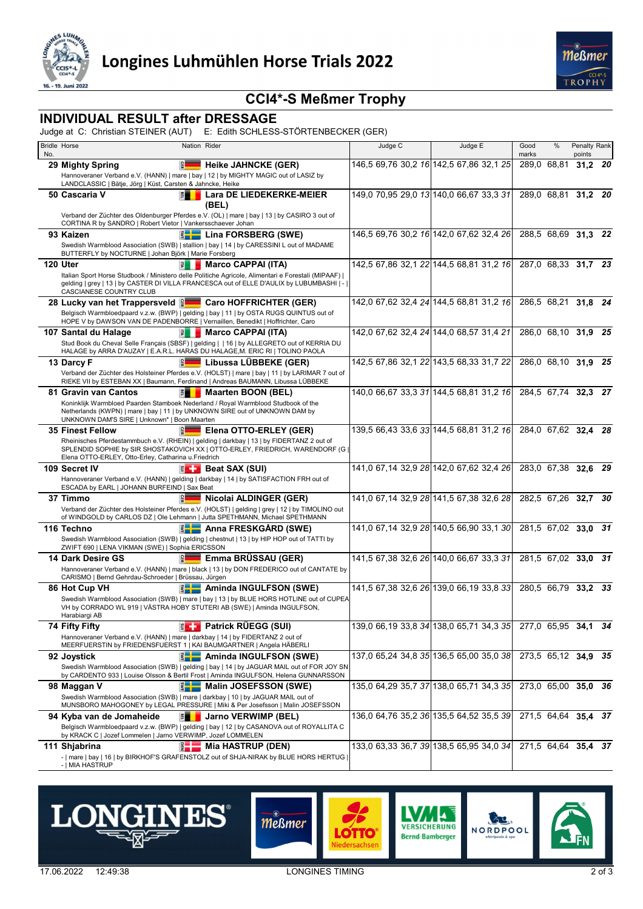



# **CCI4\*-S Meßmer Trophy**

#### **INDIVIDUAL RESULT after DRESSAGE**

Judge at C: Christian STEINER (AUT) E: Edith SCHLESS-STÖRTENBECKER (GER)

| No. | <b>Bridle Horse</b>                                                                                                                                   | Nation Rider |                                                                                                                                                                                                  | Judge C | Judge E                                 | Good<br>marks       | $\%$                | Penalty Rank<br>points |     |
|-----|-------------------------------------------------------------------------------------------------------------------------------------------------------|--------------|--------------------------------------------------------------------------------------------------------------------------------------------------------------------------------------------------|---------|-----------------------------------------|---------------------|---------------------|------------------------|-----|
|     | 29 Mighty Spring                                                                                                                                      | le.          | <b>Heike JAHNCKE (GER)</b>                                                                                                                                                                       |         | 146,5 69,76 30,2 16 142,5 67,86 32,1 25 |                     | 289,0 68,81         | 31,2 20                |     |
|     | LANDCLASSIC   Bätje, Jörg   Küst, Carsten & Jahncke, Heike                                                                                            |              | Hannoveraner Verband e.V. (HANN)   mare   bay   12   by MIGHTY MAGIC out of LASIZ by                                                                                                             |         |                                         |                     |                     |                        |     |
|     | 50 Cascaria V                                                                                                                                         | 間            | <b>Lara DE LIEDEKERKE-MEIER</b><br>(BEL)                                                                                                                                                         |         | 149,0 70,95 29,0 13 140,0 66,67 33,3 31 |                     | 289,0 68,81 31,2 20 |                        |     |
|     | CORTINA R by SANDRO   Robert Vietor   Vankersschaever Johan                                                                                           |              | Verband der Züchter des Oldenburger Pferdes e.V. (OL)   mare   bay   13   by CASIRO 3 out of                                                                                                     |         |                                         |                     |                     |                        |     |
|     | 93 Kaizen                                                                                                                                             |              | Lina FORSBERG (SWE)                                                                                                                                                                              |         | 146,5 69,76 30,2 16 142,0 67,62 32,4 26 |                     | 288,5 68,69 31,3 22 |                        |     |
|     | BUTTERFLY by NOCTURNE   Johan Björk   Marie Forsberg                                                                                                  |              | Swedish Warmblood Association (SWB)   stallion   bay   14   by CARESSINI L out of MADAME                                                                                                         |         |                                         |                     |                     |                        |     |
|     | 120 Uter                                                                                                                                              | 引            | <b>Marco CAPPAI (ITA)</b>                                                                                                                                                                        |         | 142,5 67,86 32,1 22 144,5 68,81 31,2 16 |                     | 287,0 68,33 31,7 23 |                        |     |
|     | CASCIANESE COUNTRY CLUB                                                                                                                               |              | Italian Sport Horse Studbook / Ministero delle Politiche Agricole, Alimentari e Forestali (MIPAAF)  <br>gelding   grey   13   by CASTER DI VILLA FRANCESCA out of ELLE D'AULIX by LUBUMBASHI   - |         |                                         |                     |                     |                        |     |
|     |                                                                                                                                                       |              | <b>Caro HOFFRICHTER (GER)</b>                                                                                                                                                                    |         | 142,0 67,62 32,4 24 144,5 68,81 31,2 16 |                     | 286,5 68,21 31,8 24 |                        |     |
|     | HOPE V by DAWSON VAN DE PADENBORRE   Vernaillen, Benedikt   Hoffrichter, Caro                                                                         |              | Belgisch Warmbloedpaard v.z.w. (BWP)   gelding   bay   11   by OSTA RUGS QUINTUS out of                                                                                                          |         |                                         |                     |                     |                        |     |
|     | 107 Santal du Halage                                                                                                                                  |              | <b>E</b> Marco CAPPAI (ITA)                                                                                                                                                                      |         | 142,0 67,62 32,4 24 144,0 68,57 31,4 21 |                     | 286,0 68,10 31,9 25 |                        |     |
|     |                                                                                                                                                       |              | Stud Book du Cheval Selle Français (SBSF)   gelding     16   by ALLEGRETO out of KERRIA DU<br>HALAGE by ARRA D'AUZAY   E.A.R.L. HARAS DU HALAGE, M. ERIC RI   TOLINO PAOLA                       |         |                                         |                     |                     |                        |     |
|     | 13 Darcy F                                                                                                                                            |              | Libussa LÜBBEKE (GER)                                                                                                                                                                            |         | 142,5 67,86 32,1 22 143,5 68,33 31,7 22 |                     | 286,0 68,10 31,9 25 |                        |     |
|     |                                                                                                                                                       |              | Verband der Züchter des Holsteiner Pferdes e.V. (HOLST)   mare   bay   11   by LARIMAR 7 out of<br>RIEKE VII by ESTEBAN XX   Baumann, Ferdinand   Andreas BAUMANN, Libussa LÜBBEKE               |         |                                         |                     |                     |                        |     |
|     | 81 Gravin van Cantos                                                                                                                                  | 門            | <b>Maarten BOON (BEL)</b>                                                                                                                                                                        |         | 140,0 66,67 33,3 31 144,5 68,81 31,2 16 | 284,5 67,74 32,3 27 |                     |                        |     |
|     | Netherlands (KWPN)   mare   bay   11   by UNKNOWN SIRE out of UNKNOWN DAM by<br>UNKNOWN DAM'S SIRE   Unknown*   Boon Maarten                          |              | Koninklijk Warmbloed Paarden Stamboek Nederland / Royal Warmblood Studbook of the                                                                                                                |         |                                         |                     |                     |                        |     |
|     | <b>35 Finest Fellow</b>                                                                                                                               | 읣            | Elena OTTO-ERLEY (GER)                                                                                                                                                                           |         | 139,5 66,43 33,6 33 144,5 68,81 31,2 16 | 284.0 67.62 32.4 28 |                     |                        |     |
|     | Elena OTTO-ERLEY, Otto-Erley, Catharina u.Friedrich                                                                                                   |              | Rheinisches Pferdestammbuch e.V. (RHEIN)   gelding   darkbay   13   by FIDERTANZ 2 out of<br>SPLENDID SOPHIE by SIR SHOSTAKOVICH XX   OTTO-ERLEY, FRIEDRICH, WARENDORF (G                        |         |                                         |                     |                     |                        |     |
|     | 109 Secret IV                                                                                                                                         |              | $\left \frac{3}{2}\right $ Beat SAX (SUI)                                                                                                                                                        |         | 141,0 67,14 32,9 28 142,0 67,62 32,4 26 |                     | 283.0 67.38 32.6    |                        | -29 |
|     | ESCADA by EARL   JOHANN BURFEIND   Sax Beat                                                                                                           |              | Hannoveraner Verband e.V. (HANN)   gelding   darkbay   14   by SATISFACTION FRH out of                                                                                                           |         |                                         |                     |                     |                        |     |
|     | 37 Timmo                                                                                                                                              |              | Nicolai ALDINGER (GER)                                                                                                                                                                           |         | 141,0 67,14 32,9 28 141,5 67,38 32,6 28 |                     | 282,5 67,26 32,7 30 |                        |     |
|     |                                                                                                                                                       |              | Verband der Züchter des Holsteiner Pferdes e.V. (HOLST)   gelding   grey   12   by TIMOLINO out<br>of WINDGOLD by CARLOS DZ   Ole Lehmann   Jutta SPETHMANN, Michael SPETHMANN                   |         |                                         |                     |                     |                        |     |
|     | 116 Techno                                                                                                                                            |              | Anna FRESKGÅRD (SWE)                                                                                                                                                                             |         | 141,0 67,14 32,9 28 140,5 66,90 33,1 30 |                     | 281.5 67.02 33.0    |                        | -31 |
|     | ZWIFT 690   LENA VIKMAN (SWE)   Sophia ERICSSON                                                                                                       |              | Swedish Warmblood Association (SWB)   gelding   chestnut   13   by HIP HOP out of TATTI by                                                                                                       |         |                                         |                     |                     |                        |     |
|     | 14 Dark Desire GS                                                                                                                                     | 앏            | Emma BRÜSSAU (GER)                                                                                                                                                                               |         | 141,5 67,38 32,6 26 140,0 66,67 33,3 31 |                     | 281,5 67,02 33,0 31 |                        |     |
|     | CARISMO   Bernd Gehrdau-Schroeder   Brüssau, Jürgen                                                                                                   |              | Hannoveraner Verband e.V. (HANN)   mare   black   13   by DON FREDERICO out of CANTATE by                                                                                                        |         |                                         |                     |                     |                        |     |
|     | 86 Hot Cup VH                                                                                                                                         |              | Aminda INGULFSON (SWE)                                                                                                                                                                           |         | 141,5 67,38 32,6 26 139,0 66,19 33,8 33 |                     | 280.5 66.79 33.2 33 |                        |     |
|     | Harabiargi AB                                                                                                                                         |              | Swedish Warmblood Association (SWB)   mare   bay   13   by BLUE HORS HOTLINE out of CUPEA<br>VH by CORRADO WL 919   VÄSTRA HOBY STUTERI AB (SWE)   Aminda INGULFSON,                             |         |                                         |                     |                     |                        |     |
|     | 74 Fifty Fifty                                                                                                                                        |              | <b>EL Patrick RÜEGG (SUI)</b>                                                                                                                                                                    |         | 139,0 66,19 33,8 34 138,0 65,71 34,3 35 | 277,0 65,95 34,1 34 |                     |                        |     |
|     | Hannoveraner Verband e.V. (HANN)   mare   darkbay   14   by FIDERTANZ 2 out of<br>MEERFUERSTIN by FRIEDENSFUERST 1   KAI BAUMGARTNER   Angela HÄBERLI |              |                                                                                                                                                                                                  |         |                                         |                     |                     |                        |     |
|     | 92 Joystick                                                                                                                                           |              | Aminda INGULFSON (SWE)                                                                                                                                                                           |         | 137,0 65,24 34,8 35 136,5 65,00 35,0 38 |                     | 273,5 65,12 34,9 35 |                        |     |
|     |                                                                                                                                                       |              | Swedish Warmblood Association (SWB)   gelding   bay   14   by JAGUAR MAIL out of FOR JOY SN<br>by CARDENTO 933   Louise Olsson & Bertil Frost   Aminda INGULFSON, Helena GUNNARSSON              |         |                                         |                     |                     |                        |     |
|     | 98 Maggan V                                                                                                                                           |              | Malin JOSEFSSON (SWE)                                                                                                                                                                            |         | 135,0 64,29 35,7 37 138,0 65,71 34,3 35 |                     | 273,0 65,00 35,0 36 |                        |     |
|     | Swedish Warmblood Association (SWB)   mare   darkbay   10   by JAGUAR MAIL out of                                                                     |              | MUNSBORO MAHOGONEY by LEGAL PRESSURE   Miki & Per Josefsson   Malin JOSEFSSON                                                                                                                    |         |                                         |                     |                     |                        |     |
|     | 94 Kyba van de Jomaheide                                                                                                                              | 門            | Jarno VERWIMP (BEL)                                                                                                                                                                              |         | 136,0 64,76 35,2 36 135,5 64,52 35,5 39 |                     | 271,5 64,64 35,4 37 |                        |     |
|     | by KRACK C   Jozef Lommelen   Jarno VERWIMP, Jozef LOMMELEN                                                                                           |              | Belgisch Warmbloedpaard v.z.w. (BWP)   gelding   bay   12   by CASANOVA out of ROYALLITA C                                                                                                       |         |                                         |                     |                     |                        |     |
|     | 111 Shjabrina                                                                                                                                         | $E +$        | — Mia HASTRUP (DEN)                                                                                                                                                                              |         | 133,0 63,33 36,7 39 138,5 65,95 34,0 34 |                     | 271,5 64,64 35,4 37 |                        |     |
|     | -   MIA HASTRUP                                                                                                                                       |              | -   mare   bay   16   by BIRKHOF'S GRAFENSTOLZ out of SHJA-NIRAK by BLUE HORS HERTUG                                                                                                             |         |                                         |                     |                     |                        |     |